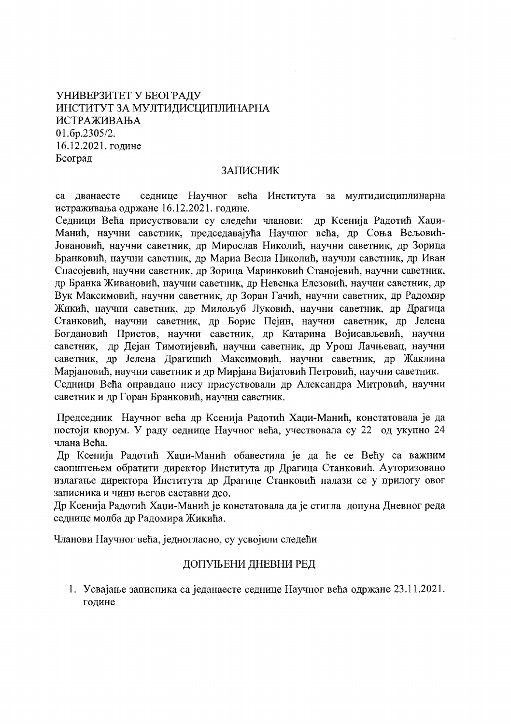# УНИВЕРЗИТЕТ У БЕОГРАДУ ИНСТИТУТ ЗА МУЛТИДИСЦИПЛИНАРНА ИСТРАЖИВАЊА 01.6p.2305/2. 16.12.2021. године Београд

### ЗАПИСНИК

са дванаесте седнице Научног већа Института за мултидисциплинарна истраживања одржане 16.12.2021. године.

Седници Већа присуствовали су следећи чланови: др Ксенија Радотић Хаџи-Манић, научни саветник, председавајућа Научног већа, др Соња Вељовић-Јовановић, научни саветник, др Мирослав Николић, научни саветник, др Зорица Бранковић, научни саветник, др Мариа Весна Николић, научни саветник, др Иван Спасојевић, научни саветник, др Зорица Маринковић Станојевић, научни саветник, др Бранка Живановић, научни саветник, др Невенка Елезовић, научни саветник, др Вук Максимовић, научни саветник, др Зоран Гачић, научни саветник, др Радомир Жикић, научни саветник, др Милољуб Луковић, научни саветник, др Драгица Станковић, научни саветник, др Борис Пејин, научни саветник, др Јелена Богдановић Пристов, научни саветник, др Катарина Војисављевић, научни саветник, др Дејан Тимотијевић, научни саветник, др Урош Лачњевац, научни саветник, др Јелена Драгишић Максимовић, научни саветник, др Жаклина Марјановић, научни саветник и др Мирјана Вијатовић Петровић, научни саветник. Седници Већа оправдано нису присуствовали др Александра Митровић, научни саветник и др Горан Бранковић, научни саветник.

Председник Научног већа др Ксенија Радотић Хаџи-Манић, констатовала је да постоји кворум. У раду седнице Научног већа, учествовала су 22 од укупно 24 члана Већа.

Др Ксенија Радотић Хаџи-Манић обавестила је да ће се Већу са важним саопштењем обратити директор Института др Драгица Станковић. Ауторизовано излагање директора Института др Драгице Станковић налази се у прилогу овог записника и чини његов саставни део.

Др Ксенија Радотић Хаџи-Манић је констатовала да је стигла допуна Дневног реда седнице молба др Радомира Жикића.

Чланови Научног већа, једногласно, су усвојили следећи

### ДОПУЊЕНИ ДНЕВНИ РЕД

1. Усвајање записника са једанаесте седнице Научног већа одржане 23.11.2021. године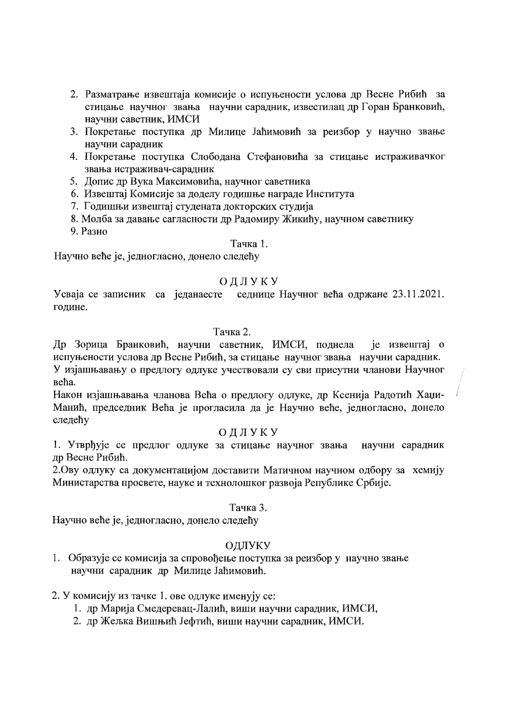- 2. Разматрање извештаја комисије о испуњености услова др Весне Рибић за стицање научног звања научни сарадник, известилац др Горан Бранковић, научни саветник, ИМСИ
- 3. Покретање поступка др Милице Јаћимовић за реизбор у научно звање научни сарадник
- 4. Покретање поступка Слободана Стефановића за стицање истраживачког звања истраживач-сарадник
- 5. Допис др Вука Максимовића, научног саветника
- 6. Извештај Комисије за доделу годишње награде Института
- 7. Годишњи извештај студената докторских студија
- 8. Молба за давање сагласности др Радомиру Жикићу, научном саветнику
- 9. Разно

## Тачка 1.

Научно веће је, једногласно, донело следећу

# ОДЛУКУ

Усваја се записник са једанаесте седнице Научног већа одржане 23.11.2021. године.

### Тачка 2.

Др Зорица Бранковић, научни саветник, ИМСИ, поднела је извештај о испуњености услова др Весне Рибић, за стицање научног звања научни сарадник. У изјашњавању о предлогу одлуке учествовали су сви присутни чланови Научног већа.

Након изјашњавања чланова Већа о предлогу одлуке, др Ксенија Радотић Хаџи-Манић, председник Већа је прогласила да је Научно веће, једногласно, донело следећу

## ОДЛУКУ

1. Утврђује се предлог одлуке за стицање научног звања научни сарадник др Весне Рибић.

2. Ову одлуку са документацијом доставити Матичном научном одбору за хемију Министарства просвете, науке и технолошког развоја Републике Србије.

## Тачка 3.

Научно веће је, једногласно, донело следећу

# ОДЛУКУ

1. Образује се комисија за спровођење поступка за реизбор у научно звање научни сарадник др Милице Јаћимовић.

## 2. У комисију из тачке 1. ове одлуке именују се:

- 1. др Марија Смедеревац-Лалић, виши научни сарадник, ИМСИ,
- 2. др Жељка Вишњић Јефтић, виши научни сарадник, ИМСИ.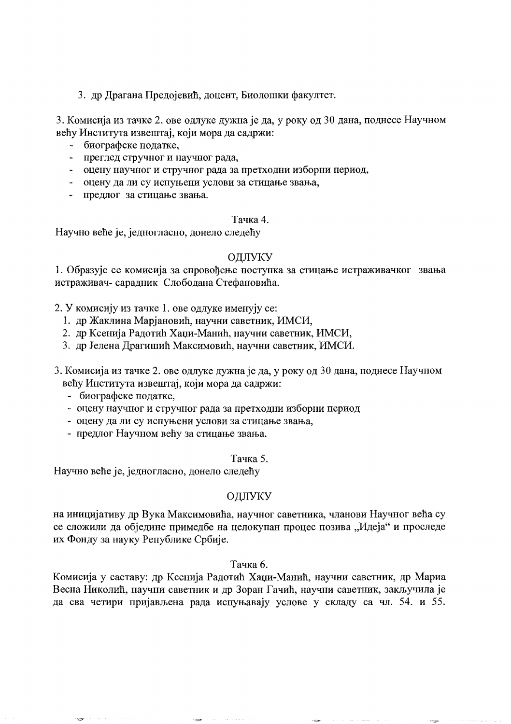3. др Драгана Предојевић, доцент, Биолошки факултет.

3. Комисија из тачке 2. ове одлуке дужна је да, у року од 30 дана, поднесе Научном већу Института извештај, који мора да садржи:

- биографске податке,
- преглед стручног и научног рада,
- оцену научног и стручног рада за претходни изборни период,
- оцену да ли су испуњени услови за стицање звања,
- предлог за стицање звања.

#### Тачка 4.

Научно веће је, једногласно, донело следећу

#### ОДЛУКУ

1. Образује се комисија за спровођење поступка за стицање истраживачког звања истраживач- сарадник Слободана Стефановића.

2. У комисију из тачке 1. ове одлуке именују се:

- 1. др Жаклина Марјановић, научни саветник, ИМСИ,
- 2. др Ксенија Радотић Хаџи-Манић, научни саветник, ИМСИ,
- 3. др Јелена Драгишић Максимовић, научни саветник, ИМСИ.
- 3. Комисија из тачке 2. ове одлуке дужна је да, у року од 30 дана, поднесе Научном већу Института извештај, који мора да садржи:
	- биографске податке,
	- оцену научног и стручног рада за претходни изборни период
	- оцену да ли су испуњени услови за стицање звања,
	- предлог Научном већу за стицање звања.

#### Тачка 5.

Научно веће је, једногласно, донело следећу

## ОЛЛУКУ

на иницијативу др Вука Максимовића, научног саветника, чланови Научног већа су се сложили да обједине примедбе на целокупан процес позива "Идеја" и проследе их Фонду за науку Републике Србије.

#### Тачка 6.

Комисија у саставу: др Ксенија Радотић Хаџи-Манић, научни саветник, др Мариа Весна Николић, научни саветник и др Зоран Гачић, научни саветник, закључила је да сва четири пријављена рада испуњавају услове у складу са чл. 54. и 55.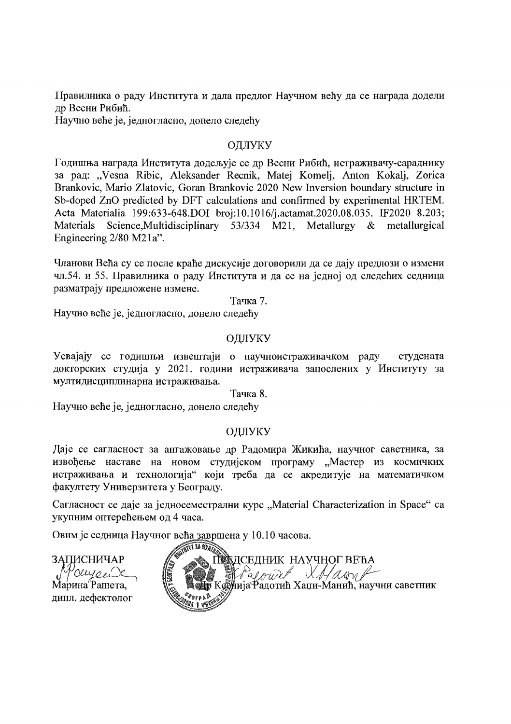Правилника о раду Института и дала предлог Научном већу да се награда додели др Весни Рибић.

Научно веће је, једногласно, донело следећу

## ОЛЛУКУ

Годишња награда Института додељује се др Весни Рибић, истраживачу-сараднику за рад: "Vesna Ribic, Aleksander Recnik, Matej Komelj, Anton Kokalj, Zorica Brankovic, Mario Zlatovic, Goran Brankovic 2020 New Inversion boundary structure in Sb-doped ZnO predicted by DFT calculations and confirmed by experimental HRTEM. Acta Materialia 199:633-648.DOI broi:10.1016/i.actamat.2020.08.035. IF2020 8.203; Materials Science, Multidisciplinary 53/334  $M21$ , Metallurgy  $\&$ metallurgical Engineering  $2/80$  M $21a$ ".

Чланови Већа су се после краће дискусије договорили да се дају предлози о измени чл.54. и 55. Правилника о раду Института и да се на једној од следећих седница разматрају предложене измене.

Тачка 7.

Научно веће је, једногласно, донело следећу

## ОДЛУКУ

Усвајају се годишњи извештаји о научноистраживачком раду студената докторских студија у 2021. години истраживача запослених у Институту за мултидисциплинарна истраживања.

Тачка 8.

Научно веће је, једногласно, донело следећу

#### ОДЛУКУ

Даје се сагласност за ангажовање др Радомира Жикића, научног саветника, за извођење наставе на новом студијском програму "Мастер из космичких истраживања и технологија" који треба да се акредитује на математичком факултету Универзитета у Београду.

Сагласност се даје за једносеместрални курс "Material Characterization in Space" са укупним оптерећењем од 4 часа.

Овим је седница Научног већа завршена у 10.10 часова.

ЗАПИСНИЧАР auronde Марина<sup>"</sup>Рашета. дипл. дефектолог

**ANT SA MYAT Ведседник научног већа**<br>Ж*Радлин ХМ алту* **WA A COULT X NAMA**<br>Коснија Радотић Хаџи-Манић, научни саветник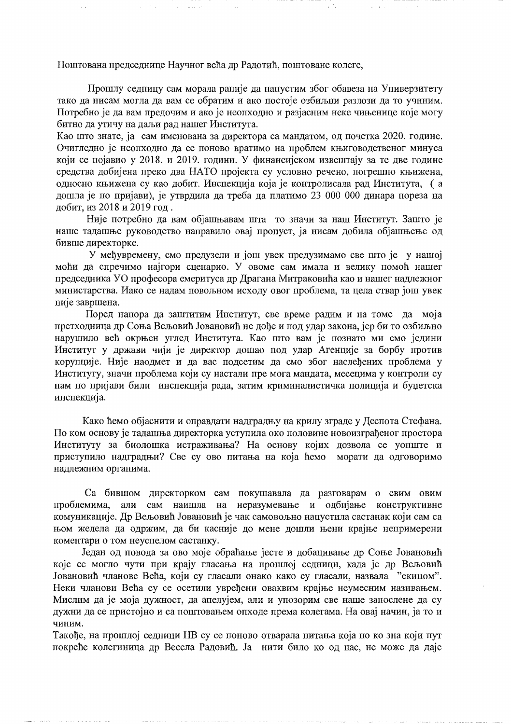Поштована председнице Научног већа др Радотић, поштоване колеге.

Прошлу седницу сам морала раније да напустим због обавеза на Универзитету тако да нисам могла да вам се обратим и ако постоје озбиљни разлози да то учиним. Потребно је да вам предочим и ако је неопходно и разјасним неке чињенице које могу битно да утичу на даљи рад нашег Института.

Као што знате, ја сам именована за директора са мандатом, од почетка 2020. године. Очигледно је неопходно да се поново вратимо на проблем књиговодственог минуса који се појавио у 2018. и 2019. години. У финансијском извештају за те две године средства добијена преко два НАТО пројекта су условно речено, погрешно књижена, односно књижена су као добит. Инспекција која је контролисала рад Института, (а дошла је по пријави), је утврдила да треба да платимо 23 000 000 динара пореза на добит, из 2018 и 2019 год.

Није потребно да вам објашњавам шта то значи за наш Институт. Зашто је наше тадашње руководство направило овај пропуст, ја нисам добила објашњење од бивше директорке.

У међувремену, смо предузели и још увек предузимамо све што је у нашој моћи да спречимо најгори сценарио. У овоме сам имала и велику помоћ нашег председника УО професора емеритуса др Драгана Митраковића као и нашег надлежног министарства. Иако се надам повољном исходу овог проблема, та цела ствар још увек није завршена.

Поред напора да заштитим Институт, све време радим и на томе да моја претходница др Соња Вељовић Јовановић не дође и под удар закона, јер би то озбиљно нарушило већ окрњен углед Института. Као што вам је познато ми смо једини Институт у дожави чији је директор дошао под удар Агенције за борбу против корупције. Није наодмет и да вас подсетим да смо због наслеђених проблема у Институту, значи проблема који су настали пре мога мандата, месецима у контроли су нам по пријави били инспекција рада, затим криминалистичка полиција и буџетска инспекција.

Како ћемо објаснити и оправдати надградњу на крилу зграде у Деспота Стефана. По ком основу је тадашња директорка уступила око половине новоизграђеног простора Институту за биолошка истраживања? На основу којих дозвола се уопште и приступило надградњи? Све су ово питања на која ћемо морати да одговоримо надлежним органима.

Са бившом директорком сам покушавала да разговарам о свим овим проблемима, али сам наишла на неразумевање и одбијање конструктивне комуникације. Др Вељовић Јовановић је чак самовољно напустила састанак који сам са њом желела да одржим, да би касније до мене дошли њени крајње непримерени коментари о том неуспелом састанку.

Један од повода за ово моје обраћање јесте и добацивање др Соње Јовановић које се могло чути при крају гласања на прошлој седници, када је др Вељовић Јовановић чланове Већа, који су гласали онако како су гласали, назвала "екипом". Неки чланови Већа су се осетили увређени оваквим крајње неумесним називањем. Мислим да је моја дужност, да апелујем, али и упозорим све наше запослене да су дужни да се пристојно и са поштовањем опходе према колегама. На овај начин, ја то и чиним.

Такође, на прошлој седници НВ су се поново отварала питања која по ко зна који пут покреће колегиница др Весела Радовић. Ја нити било ко од нас, не може да даје